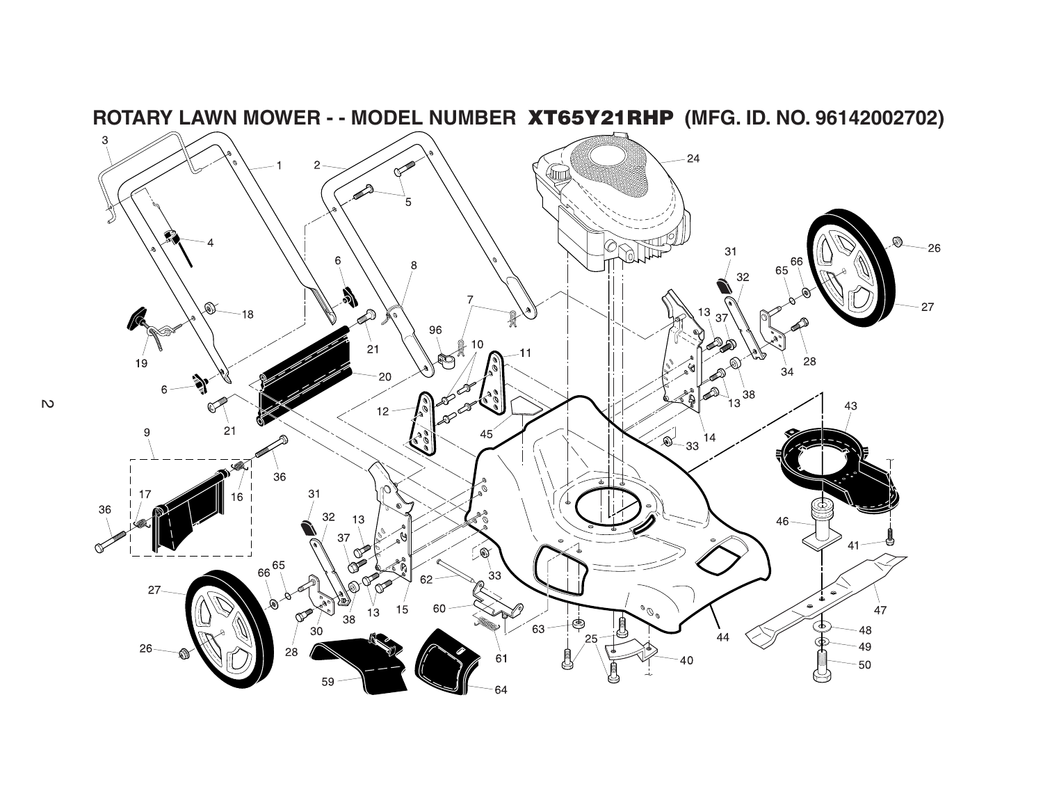

 $\mathbb{R}^2$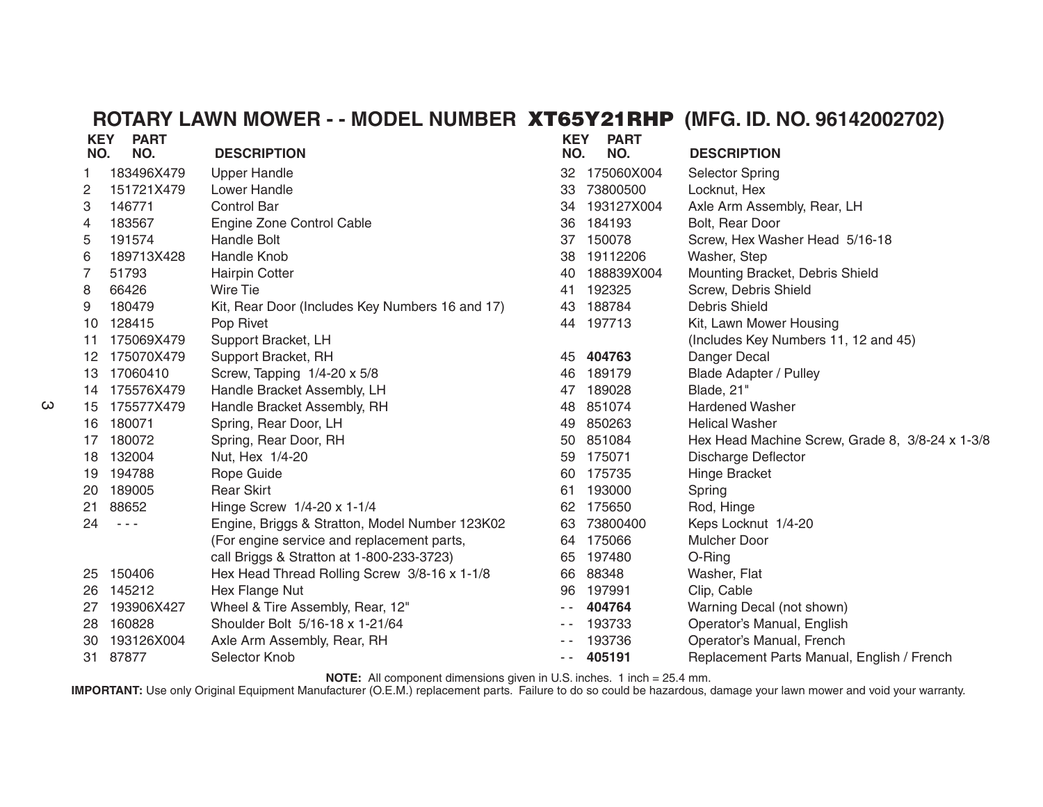| <b>KEY</b><br>NO. | <b>PART</b><br>NO.   | <b>DESCRIPTION</b>                              | <b>KEY</b><br>NO. | <b>PART</b><br>NO. | <b>DESCRIPTION</b>                              |
|-------------------|----------------------|-------------------------------------------------|-------------------|--------------------|-------------------------------------------------|
| 1                 | 183496X479           | <b>Upper Handle</b>                             | 32                | 175060X004         | <b>Selector Spring</b>                          |
| $\overline{c}$    | 151721X479           | Lower Handle                                    | 33                | 73800500           | Locknut, Hex                                    |
| 3                 | 146771               | <b>Control Bar</b>                              | 34                | 193127X004         | Axle Arm Assembly, Rear, LH                     |
| 4                 | 183567               | Engine Zone Control Cable                       | 36                | 184193             | Bolt, Rear Door                                 |
| 5                 | 191574               | <b>Handle Bolt</b>                              | 37                | 150078             | Screw, Hex Washer Head 5/16-18                  |
| 6                 | 189713X428           | <b>Handle Knob</b>                              | 38                | 19112206           | Washer, Step                                    |
| 7                 | 51793                | Hairpin Cotter                                  | 40                | 188839X004         | Mounting Bracket, Debris Shield                 |
| 8                 | 66426                | Wire Tie                                        | 41                | 192325             | Screw, Debris Shield                            |
| 9                 | 180479               | Kit, Rear Door (Includes Key Numbers 16 and 17) | 43                | 188784             | Debris Shield                                   |
| 10                | 128415               | Pop Rivet                                       | 44                | 197713             | Kit, Lawn Mower Housing                         |
| 11                | 175069X479           | Support Bracket, LH                             |                   |                    | (Includes Key Numbers 11, 12 and 45)            |
| 12                | 175070X479           | Support Bracket, RH                             | 45                | 404763             | Danger Decal                                    |
| 13                | 17060410             | Screw, Tapping 1/4-20 x 5/8                     | 46                | 189179             | <b>Blade Adapter / Pulley</b>                   |
| 14                | 175576X479           | Handle Bracket Assembly, LH                     | 47                | 189028             | Blade, 21"                                      |
| 15                | 175577X479           | Handle Bracket Assembly, RH                     | 48                | 851074             | <b>Hardened Washer</b>                          |
| 16                | 180071               | Spring, Rear Door, LH                           | 49                | 850263             | <b>Helical Washer</b>                           |
| 17                | 180072               | Spring, Rear Door, RH                           | 50                | 851084             | Hex Head Machine Screw, Grade 8, 3/8-24 x 1-3/8 |
| 18                | 132004               | Nut, Hex 1/4-20                                 | 59                | 175071             | <b>Discharge Deflector</b>                      |
| 19                | 194788               | Rope Guide                                      | 60                | 175735             | Hinge Bracket                                   |
| 20                | 189005               | <b>Rear Skirt</b>                               | 61                | 193000             | Spring                                          |
| 21                | 88652                | Hinge Screw 1/4-20 x 1-1/4                      | 62                | 175650             | Rod, Hinge                                      |
| 24                | $\sim$ $\sim$ $\sim$ | Engine, Briggs & Stratton, Model Number 123K02  | 63                | 73800400           | Keps Locknut 1/4-20                             |
|                   |                      | (For engine service and replacement parts,      | 64                | 175066             | <b>Mulcher Door</b>                             |
|                   |                      | call Briggs & Stratton at 1-800-233-3723)       | 65                | 197480             | O-Ring                                          |
| 25                | 150406               | Hex Head Thread Rolling Screw 3/8-16 x 1-1/8    | 66                | 88348              | Washer, Flat                                    |
| 26                | 145212               | Hex Flange Nut                                  | 96                | 197991             | Clip, Cable                                     |
| 27                | 193906X427           | Wheel & Tire Assembly, Rear, 12"                | $ -$              | 404764             | Warning Decal (not shown)                       |
| 28                | 160828               | Shoulder Bolt 5/16-18 x 1-21/64                 |                   | 193733             | Operator's Manual, English                      |
| 30                | 193126X004           | Axle Arm Assembly, Rear, RH                     |                   | 193736             | Operator's Manual, French                       |
| 31.               | 87877                | Selector Knob                                   | $\sim$ $\sim$     | 405191             | Replacement Parts Manual, English / French      |

**NOTE:** All component dimensions given in U.S. inches. 1 inch = 25.4 mm.

**IMPORTANT:** Use only Original Equipment Manufacturer (O.E.M.) replacement parts. Failure to do so could be hazardous, damage your lawn mower and void your warranty.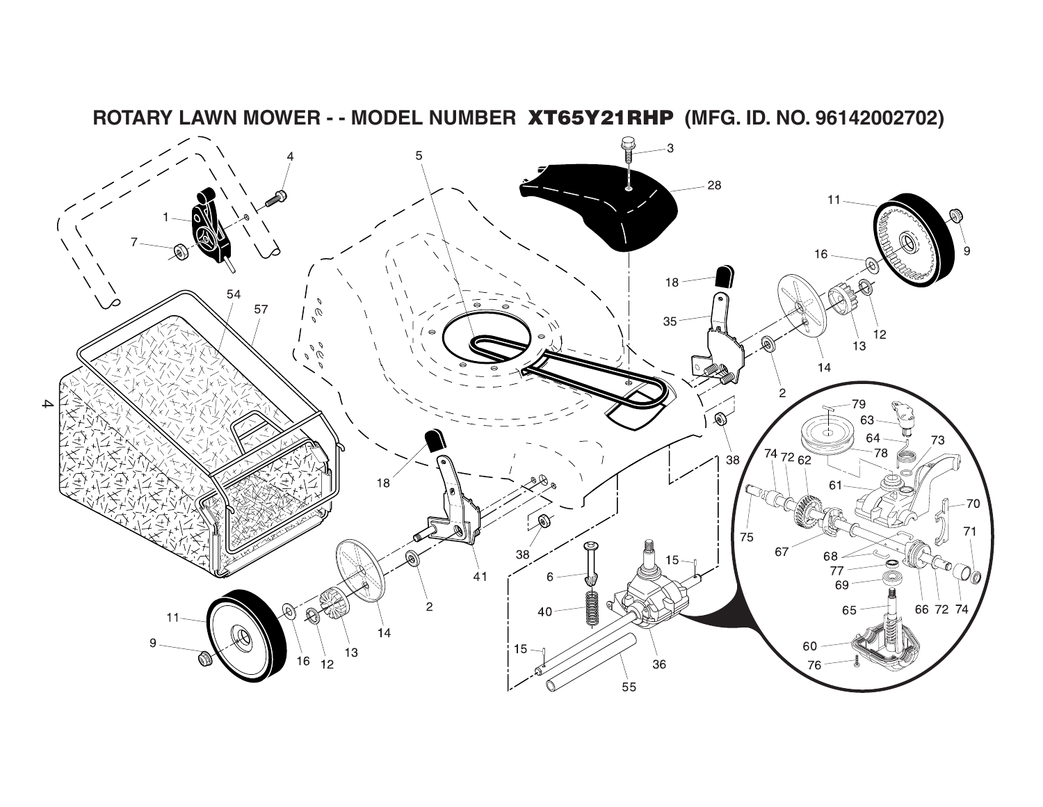